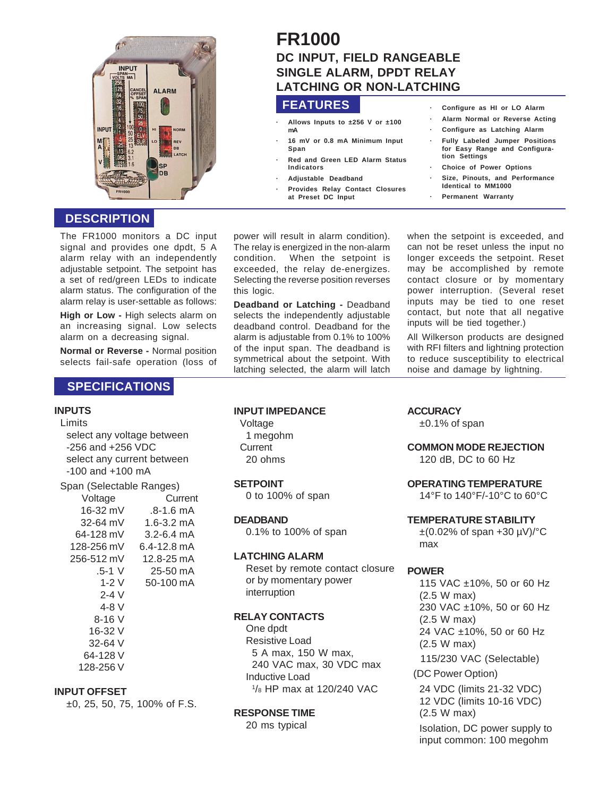

## **DESCRIPTION**

The FR1000 monitors a DC input signal and provides one dpdt, 5 A alarm relay with an independently adjustable setpoint. The setpoint has a set of red/green LEDs to indicate alarm status. The configuration of the alarm relay is user-settable as follows:

**High or Low -** High selects alarm on an increasing signal. Low selects alarm on a decreasing signal.

**Normal or Reverse -** Normal position selects fail-safe operation (loss of

## **SPECIFICATIONS**

#### **INPUTS**

Limits

select any voltage between -256 and +256 VDC select any current between -100 and +100 mA

| Span (Selectable Ranges) |  |
|--------------------------|--|
|                          |  |

| Voltage      | Current        |  |  |
|--------------|----------------|--|--|
| 16-32 mV     | $.8 - 1.6$ mA  |  |  |
| $32 - 64$ mV | $1.6 - 3.2$ mA |  |  |
| 64-128 mV    | $3.2 - 6.4$ mA |  |  |
| 128-256 mV   | 6.4-12.8 mA    |  |  |
| 256-512 mV   | 12.8-25 mA     |  |  |
| $.5 - 1$ V   | $25 - 50$ mA   |  |  |
| $1-2V$       | 50-100 mA      |  |  |
| $2 - 4$ V    |                |  |  |
| $4-8$ V      |                |  |  |
| $8 - 16$ V   |                |  |  |
| 16-32 V      |                |  |  |
| 32-64 V      |                |  |  |
| 64-128 V     |                |  |  |
| 128-256 V    |                |  |  |
|              |                |  |  |

#### **INPUT OFFSET**

±0, 25, 50, 75, 100% of F.S.

# **FR1000 DC INPUT, FIELD RANGEABLE SINGLE ALARM, DPDT RELAY LATCHING OR NON-LATCHING**

## **FEATURES**

- **· Allows Inputs to ±256 V or ±100 mA**
- **· 16 mV or 0.8 mA Minimum Input Span · Red and Green LED Alarm Status**
- **Indicators**
- **· Adjustable Deadband**
- **· Provides Relay Contact Closures**
	- **at Preset DC Input**

power will result in alarm condition). The relay is energized in the non-alarm condition. When the setpoint is exceeded, the relay de-energizes. Selecting the reverse position reverses this logic.

**Deadband or Latching -** Deadband selects the independently adjustable deadband control. Deadband for the alarm is adjustable from 0.1% to 100% of the input span. The deadband is symmetrical about the setpoint. With latching selected, the alarm will latch

when the setpoint is exceeded, and can not be reset unless the input no longer exceeds the setpoint. Reset may be accomplished by remote contact closure or by momentary power interruption. (Several reset inputs may be tied to one reset contact, but note that all negative inputs will be tied together.)

**· Configure as HI or LO Alarm · Alarm Normal or Reverse Acting · Configure as Latching Alarm · Fully Labeled Jumper Positions for Easy Range and Configura-**

**· Choice of Power Options · Size, Pinouts, and Performance**

**Identical to MM1000 · Permanent Warranty**

**tion Settings**

All Wilkerson products are designed with RFI filters and lightning protection to reduce susceptibility to electrical noise and damage by lightning.

#### **INPUT IMPEDANCE**

Voltage 1 megohm **Current** 20 ohms

#### **SETPOINT**

0 to 100% of span

**DEADBAND**

0.1% to 100% of span

#### **LATCHING ALARM**

Reset by remote contact closure or by momentary power interruption

#### **RELAY CONTACTS**

One dpdt Resistive Load 5 A max, 150 W max, 240 VAC max, 30 VDC max Inductive Load 1 /8 HP max at 120/240 VAC

#### **RESPONSE TIME**

20 ms typical

## **ACCURACY**

 $±0.1\%$  of span

#### **COMMON MODE REJECTION**

120 dB, DC to 60 Hz

#### **OPERATING TEMPERATURE**

14°F to 140°F/-10°C to 60°C

#### **TEMPERATURE STABILITY**

 $\pm$ (0.02% of span +30 µV)/ $^{\circ}$ C max

#### **POWER**

115 VAC ±10%, 50 or 60 Hz (2.5 W max) 230 VAC ±10%, 50 or 60 Hz (2.5 W max) 24 VAC ±10%, 50 or 60 Hz (2.5 W max) 115/230 VAC (Selectable) (DC Power Option) 24 VDC (limits 21-32 VDC) 12 VDC (limits 10-16 VDC) (2.5 W max) Isolation, DC power supply to input common: 100 megohm